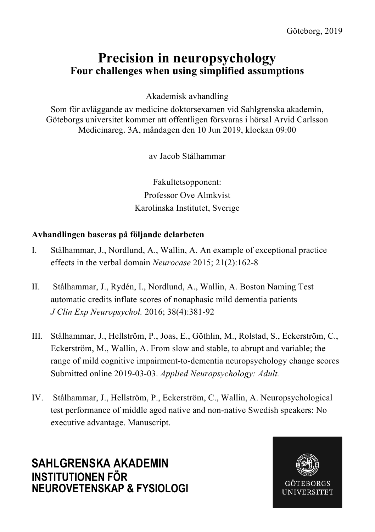# **Precision in neuropsychology Four challenges when using simplified assumptions**

Akademisk avhandling

Som för avläggande av medicine doktorsexamen vid Sahlgrenska akademin, Göteborgs universitet kommer att offentligen försvaras i hörsal Arvid Carlsson Medicinareg. 3A, måndagen den 10 Jun 2019, klockan 09:00

av Jacob Stålhammar

Fakultetsopponent: Professor Ove Almkvist Karolinska Institutet, Sverige

### **Avhandlingen baseras på följande delarbeten**

- I. Stålhammar, J., Nordlund, A., Wallin, A. An example of exceptional practice effects in the verbal domain *Neurocase* 2015; 21(2):162-8
- II. Stålhammar, J., Rydén, I., Nordlund, A., Wallin, A. Boston Naming Test automatic credits inflate scores of nonaphasic mild dementia patients *J Clin Exp Neuropsychol.* 2016; 38(4):381-92
- III. Stålhammar, J., Hellström, P., Joas, E., Göthlin, M., Rolstad, S., Eckerström, C., Eckerström, M., Wallin, A. From slow and stable, to abrupt and variable; the range of mild cognitive impairment-to-dementia neuropsychology change scores Submitted online 2019-03-03. *Applied Neuropsychology: Adult.*
- IV. Stålhammar, J., Hellström, P., Eckerström, C., Wallin, A. Neuropsychological test performance of middle aged native and non-native Swedish speakers: No executive advantage. Manuscript.

**SAHLGRENSKA AKADEMIN INSTITUTIONEN FÖR NEUROVETENSKAP & FYSIOLOGI**